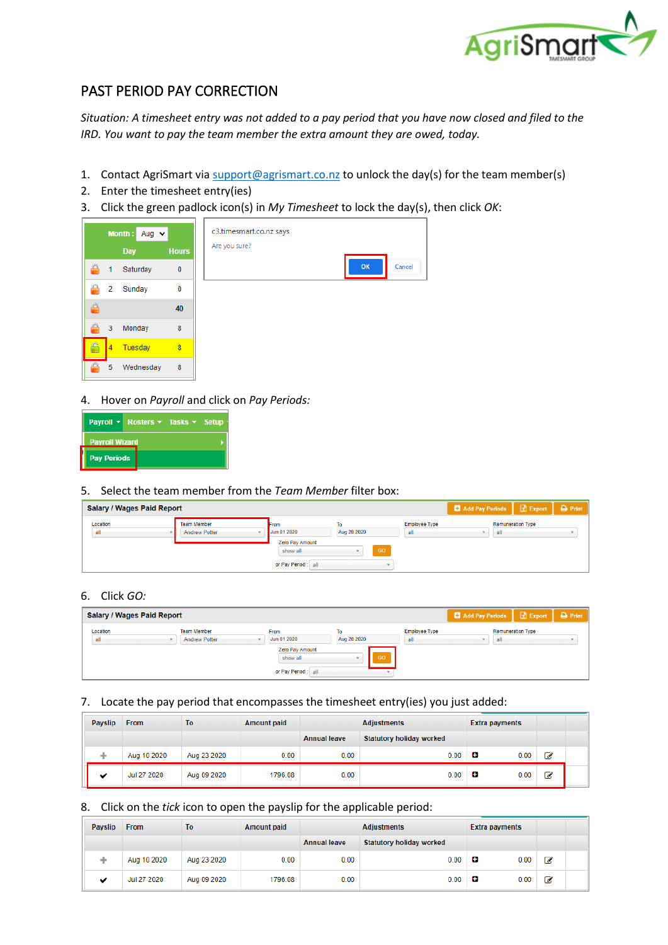

# PAST PERIOD PAY CORRECTION

*Situation: A timesheet entry was not added to a pay period that you have now closed and filed to the IRD. You want to pay the team member the extra amount they are owed, today.* 

- 1. Contact AgriSmart vi[a support@agrismart.co.nz](mailto:support@agrismart.co.nz) to unlock the day(s) for the team member(s)
- 2. Enter the timesheet entry(ies)
- 3. Click the green padlock icon(s) in *My Timesheet* to lock the day(s), then click *OK*:



4. Hover on *Payroll* and click on *Pay Periods:*

|                       | Payroll $\star$ Rosters $\star$ Tasks $\star$ Setup |  |
|-----------------------|-----------------------------------------------------|--|
| <b>Payroll Wizard</b> |                                                     |  |
| <b>Pay Periods</b>    |                                                     |  |

### 5. Select the team member from the *Team Member* filter box:

| <b>Salary / Wages Paid Report</b> |                                            |                                                                           |                                      |                             | <b>C</b> Add Pay Periods | $\mathbb{R}$ Export      | $\triangle$ Print |
|-----------------------------------|--------------------------------------------|---------------------------------------------------------------------------|--------------------------------------|-----------------------------|--------------------------|--------------------------|-------------------|
| Location<br>all                   | <b>Team Member</b><br><b>Andrew Potter</b> | From<br>Jun 01 2020<br>Zero Pay Amount<br>show all<br>or Pay Period : all | To<br>Aug 28 2020<br>GO <sup>1</sup> | <b>Employee Type</b><br>all | all                      | <b>Remuneration Type</b> |                   |

### 6. Click *GO:*

| <b>Salary / Wages Paid Report</b> |                                            |                             |             |                             | Add Pay Periods   X Export |                          | $\rightarrow$ Print |
|-----------------------------------|--------------------------------------------|-----------------------------|-------------|-----------------------------|----------------------------|--------------------------|---------------------|
| Location<br>all                   | <b>Team Member</b><br><b>Andrew Potter</b> | From<br>Jun 01 2020         | Aug 28 2020 | <b>Employee Type</b><br>all | all                        | <b>Remuneration Type</b> |                     |
|                                   |                                            | Zero Pay Amount<br>show all | <b>GO</b>   |                             |                            |                          |                     |
|                                   |                                            | or Pay Period : all         |             |                             |                            |                          |                     |

## 7. Locate the pay period that encompasses the timesheet entry(ies) you just added:

| <b>Payslip</b> | <b>From</b> | To          | <b>Amount paid</b> | <b>Adjustments</b>  |                                 | <b>Extra payments</b> |   |  |
|----------------|-------------|-------------|--------------------|---------------------|---------------------------------|-----------------------|---|--|
|                |             |             |                    | <b>Annual leave</b> | <b>Statutory holiday worked</b> |                       |   |  |
|                | Aug 10 2020 | Aug 23 2020 | 0.00               | 0.00                | 0.00                            | о<br>0.00             | ☑ |  |
|                | Jul 27 2020 | Aug 09 2020 | 1796.08            | 0.00                | 0.00                            | о<br>0.00             | ☑ |  |

#### 8. Click on the *tick* icon to open the payslip for the applicable period:

| <b>Payslip</b> | <b>From</b> | To          | <b>Amount paid</b> | <b>Adjustments</b>  |                          | <b>Extra payments</b> |    |  |
|----------------|-------------|-------------|--------------------|---------------------|--------------------------|-----------------------|----|--|
|                |             |             |                    | <b>Annual leave</b> | Statutory holiday worked |                       |    |  |
|                | Aug 10 2020 | Aug 23 2020 | 0.00               | 0.00                | 0.00                     | е<br>0.00             | ◢  |  |
|                | Jul 27 2020 | Aug 09 2020 | 1796.08            | 0.00                | 0.00                     | е<br>0.00             | چي |  |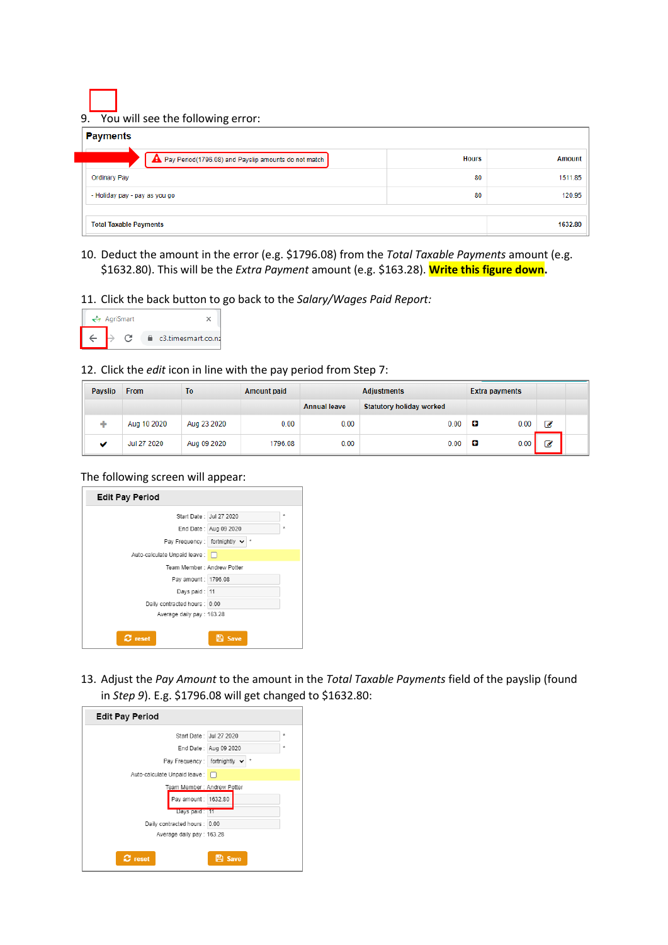9. You will see the following error:

| <b>Payments</b>                                      |              |               |
|------------------------------------------------------|--------------|---------------|
| Pay Period(1796.08) and Payslip amounts do not match | <b>Hours</b> | <b>Amount</b> |
| <b>Ordinary Pay</b>                                  | 80           | 1511.85       |
| - Holiday pay - pay as you go                        | 80           | 120.95        |
|                                                      |              |               |
| <b>Total Taxable Payments</b>                        |              | 1632.80       |

10. Deduct the amount in the error (e.g. \$1796.08) from the *Total Taxable Payments* amount (e.g. \$1632.80). This will be the *Extra Payment* amount (e.g. \$163.28). **Write this figure down.**

### 11. Click the back button to go back to the *Salary/Wages Paid Report:*

|  | $\leftrightarrow$ AgriSmart |                    |
|--|-----------------------------|--------------------|
|  |                             | c3.timesmart.co.nz |

### 12. Click the *edit* icon in line with the pay period from Step 7:

| <b>Payslip</b> | <b>From</b> | To          | <b>Amount paid</b> | <b>Adjustments</b>  |                                 | Extra payments |   |  |
|----------------|-------------|-------------|--------------------|---------------------|---------------------------------|----------------|---|--|
|                |             |             |                    | <b>Annual leave</b> | <b>Statutory holiday worked</b> |                |   |  |
| ÷              | Aug 10 2020 | Aug 23 2020 | 0.00               | 0.00                | 0.00                            | о<br>0.00      | ☑ |  |
| $\checkmark$   | Jul 27 2020 | Aug 09 2020 | 1796.08            | 0.00                | 0.00                            | œ<br>0.00      | ☑ |  |

#### The following screen will appear:

| <b>Edit Pay Period</b>                            |         |
|---------------------------------------------------|---------|
| Start Date: Jul 27 2020                           | ÷       |
| End Date: Aug 09 2020                             | $\star$ |
| Pay Frequency: fortnightly $\vee$ *               |         |
| Auto-calculate Unpaid leave : n                   |         |
| Team Member: Andrew Potter                        |         |
| Pay amount: 1796.08                               |         |
| Days paid: 11                                     |         |
| Daily contracted hours : 0.00                     |         |
| Average daily pay: 163.28                         |         |
| $\boldsymbol{\mathcal{C}}$ reset<br><b>E</b> Save |         |

13. Adjust the *Pay Amount* to the amount in the *Total Taxable Payments* field of the payslip (found in *Step 9*). E.g. \$1796.08 will get changed to \$1632.80:

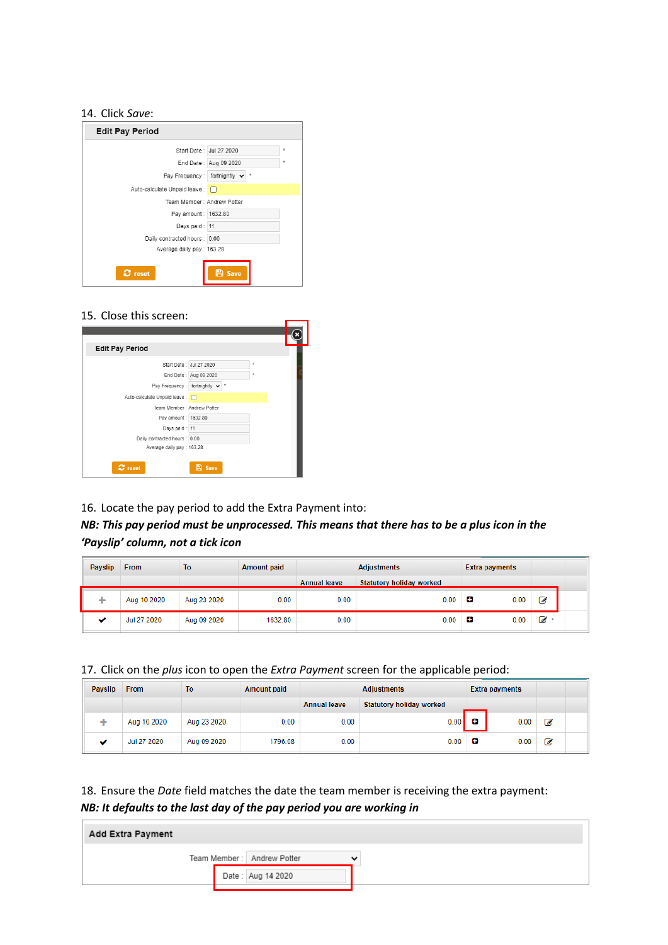#### 14. Click *Save*:

| <b>Edit Pay Period</b>                            |         |
|---------------------------------------------------|---------|
| Start Date: Jul 27 2020                           | $\star$ |
| End Date: Aug 09 2020                             | $\star$ |
| 大<br>Pay Frequency : fortnightly ↓                |         |
| Auto-calculate Unpaid leave :                     |         |
| Team Member: Andrew Potter                        |         |
| Pay amount: 1632.80                               |         |
| Days paid: 11                                     |         |
| Daily contracted hours : 0.00                     |         |
| Average daily pay: 163.28                         |         |
| <b>E</b> Save<br>$\boldsymbol{\mathcal{C}}$ reset |         |

### 15. Close this screen:

| <b>Edit Pay Period</b>        |                       |         |  |
|-------------------------------|-----------------------|---------|--|
| Start Date: Jul 27 2020       |                       | $\star$ |  |
|                               | End Date: Aug 09 2020 | $\star$ |  |
| Pay Frequency: fortnightly v  |                       |         |  |
| Auto-calculate Unpaid leave : |                       |         |  |
| Team Member: Andrew Potter    |                       |         |  |
| Pay amount: 1632.80           |                       |         |  |
| Days paid: 11                 |                       |         |  |
| Daily contracted hours : 0.00 |                       |         |  |
| Average daily pay: 163.28     |                       |         |  |
| $\sigma$ reset                | <b>El</b> Save        |         |  |

16. Locate the pay period to add the Extra Payment into:

## *NB: This pay period must be unprocessed. This means that there has to be a plus icon in the 'Payslip' column, not a tick icon*

| <b>Payslip</b> | <b>From</b> | To          | <b>Amount paid</b> | <b>Adjustments</b>  |                          | <b>Extra payments</b> |                |
|----------------|-------------|-------------|--------------------|---------------------|--------------------------|-----------------------|----------------|
|                |             |             |                    | <b>Annual leave</b> | Statutory holiday worked |                       |                |
|                | Aug 10 2020 | Aug 23 2020 | 0.00               | 0.00                | 0.00                     | 0.00<br>о             | ₫              |
| $\epsilon$     | Jul 27 2020 | Aug 09 2020 | 1632.80            | 0.00                | 0.00                     | о<br>0.00             | $\mathbb{Z}^*$ |

17. Click on the *plus* icon to open the *Extra Payment* screen for the applicable period:

| <b>Payslip</b> | <b>From</b> | To          | <b>Amount paid</b> | <b>Adjustments</b>  |                          | <b>Extra payments</b> |      |   |  |
|----------------|-------------|-------------|--------------------|---------------------|--------------------------|-----------------------|------|---|--|
|                |             |             |                    | <b>Annual leave</b> | Statutory holiday worked |                       |      |   |  |
|                | Aug 10 2020 | Aug 23 2020 | 0.00               | 0.00                | 0.00                     | о                     | 0.00 | ☑ |  |
| w              | Jul 27 2020 | Aug 09 2020 | 1796.08            | 0.00                | 0.00                     | о                     | 0.00 | Ø |  |

18. Ensure the *Date* field matches the date the team member is receiving the extra payment: *NB: It defaults to the last day of the pay period you are working in*

| Add Extra Payment |                            |                          |
|-------------------|----------------------------|--------------------------|
|                   | Team Member: Andrew Potter | $\overline{\phantom{a}}$ |
|                   | Date: Aug 14 2020          |                          |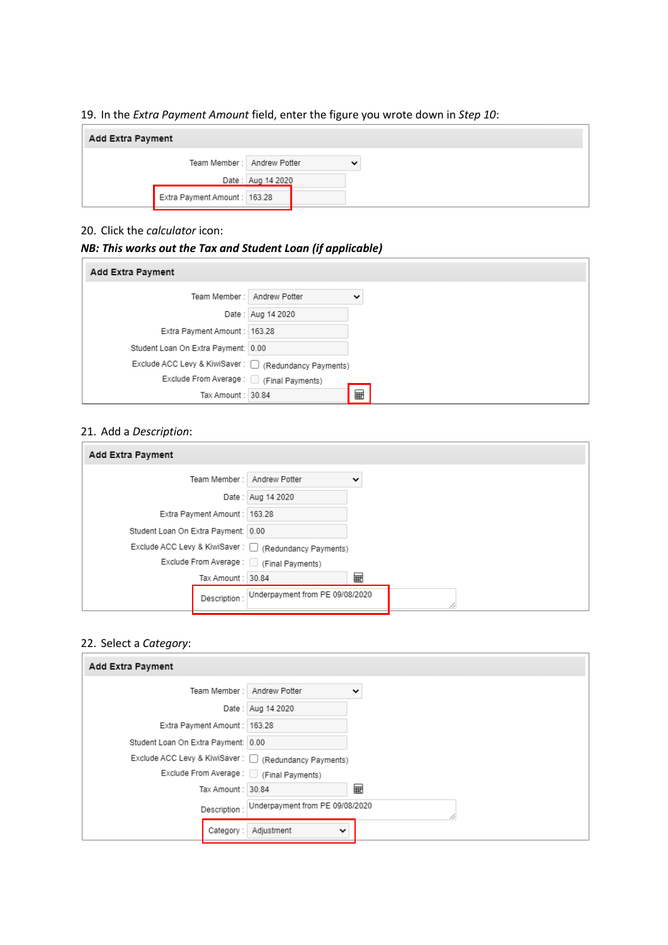## 19. In the *Extra Payment Amount* field, enter the figure you wrote down in *Step 10*:

| Add Extra Payment |                              |                   |             |
|-------------------|------------------------------|-------------------|-------------|
|                   | Team Member: Andrew Potter   |                   | $\check{ }$ |
|                   |                              | Date: Aug 14 2020 |             |
|                   | Extra Payment Amount: 163.28 |                   |             |

## 20. Click the *calculator* icon:

## *NB: This works out the Tax and Student Loan (if applicable)*

| Add Extra Payment                                          |                   |             |
|------------------------------------------------------------|-------------------|-------------|
| Team Member: Andrew Potter                                 |                   | $\check{ }$ |
|                                                            | Date: Aug 14 2020 |             |
| Extra Payment Amount: 163.28                               |                   |             |
| Student Loan On Extra Payment: 0.00                        |                   |             |
| Exclude ACC Levy & KiwiSaver: $\Box$ (Redundancy Payments) |                   |             |
| Exclude From Average: [34] (Final Payments)                |                   |             |
| Tax Amount: 30.84                                          |                   | ⊞           |

## 21. Add a *Description*:

| Add Extra Payment                                          |                                 |             |  |  |
|------------------------------------------------------------|---------------------------------|-------------|--|--|
| Team Member: Andrew Potter                                 |                                 | $\check{ }$ |  |  |
|                                                            | Date: Aug 14 2020               |             |  |  |
| Extra Payment Amount: 163.28                               |                                 |             |  |  |
| Student Loan On Extra Payment: 0.00                        |                                 |             |  |  |
| Exclude ACC Levy & KiwiSaver: $\Box$ (Redundancy Payments) |                                 |             |  |  |
| Exclude From Average: [34] (Final Payments)                |                                 |             |  |  |
| Tax Amount: 30.84                                          |                                 | ⊞           |  |  |
| Description:                                               | Underpayment from PE 09/08/2020 |             |  |  |

### 22. Select a *Category*:

| Add Extra Payment                                           |                                 |              |
|-------------------------------------------------------------|---------------------------------|--------------|
| Team Member: Andrew Potter                                  |                                 | $\checkmark$ |
|                                                             | Date: Aug 14 2020               |              |
| Extra Payment Amount : 163.28                               |                                 |              |
| Student Loan On Extra Payment: 0.00                         |                                 |              |
| Exclude ACC Levy & KiwiSaver : $\Box$ (Redundancy Payments) |                                 |              |
| Exclude From Average: C (Final Payments)                    |                                 |              |
| Tax Amount: 30.84                                           |                                 | 翩            |
| Description :                                               | Underpayment from PE 09/08/2020 |              |
| Category:                                                   | Adjustment<br>$\checkmark$      |              |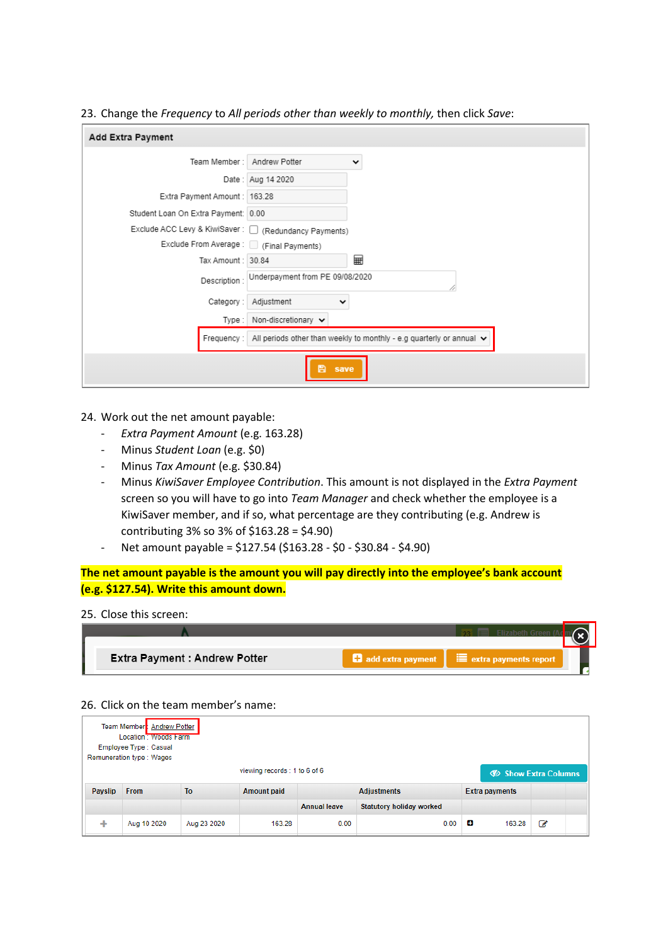23. Change the *Frequency* to *All periods other than weekly to monthly,* then click *Save*:

| Add Extra Payment                           |                                                                           |
|---------------------------------------------|---------------------------------------------------------------------------|
| Team Member: Andrew Potter                  | $\checkmark$                                                              |
|                                             | Date: Aug 14 2020                                                         |
| Extra Payment Amount: 163.28                |                                                                           |
| Student Loan On Extra Payment: 0.00         |                                                                           |
| Exclude ACC Levy & KiwiSaver: [             | (Redundancy Payments)                                                     |
| Exclude From Average: [34] (Final Payments) |                                                                           |
| Tax Amount: 30.84                           | ⊞                                                                         |
| Description:                                | Underpayment from PE 09/08/2020                                           |
| Category:                                   | Adjustment<br>╰                                                           |
| Type:                                       | Non-discretionary v                                                       |
| Frequency:                                  | All periods other than weekly to monthly - e.g quarterly or annual $\vee$ |
|                                             | H<br>save                                                                 |

### 24. Work out the net amount payable:

- *Extra Payment Amount* (e.g. 163.28)
- Minus *Student Loan* (e.g. \$0)
- Minus *Tax Amount* (e.g. \$30.84)
- Minus *KiwiSaver Employee Contribution*. This amount is not displayed in the *Extra Payment* screen so you will have to go into *Team Manager* and check whether the employee is a KiwiSaver member, and if so, what percentage are they contributing (e.g. Andrew is contributing 3% so 3% of \$163.28 = \$4.90)
- Net amount payable =  $$127.54$  ( $$163.28 $0 $30.84 $4.90$ )

**The net amount payable is the amount you will pay directly into the employee's bank account (e.g. \$127.54). Write this amount down.**

#### 25. Close this screen:

| He add extra payment   E extra payments report<br><b>Extra Payment : Andrew Potter</b> |  |  |
|----------------------------------------------------------------------------------------|--|--|
|                                                                                        |  |  |

#### 26. Click on the team member's name:

|         | Team Member: Andrew Potter<br>Location: woods Farm<br>Employee Type : Casual<br>Remuneration type: Wages |                |                    |                     |                          |                       |                          |  |  |
|---------|----------------------------------------------------------------------------------------------------------|----------------|--------------------|---------------------|--------------------------|-----------------------|--------------------------|--|--|
|         | viewing records : 1 to 6 of 6<br><b>D</b> Show Extra Columns                                             |                |                    |                     |                          |                       |                          |  |  |
| Payslip | <b>From</b>                                                                                              | T <sub>o</sub> | <b>Amount paid</b> |                     | <b>Adjustments</b>       | <b>Extra payments</b> |                          |  |  |
|         |                                                                                                          |                |                    | <b>Annual leave</b> | Statutory holiday worked |                       |                          |  |  |
| ÷       | Aug 10 2020                                                                                              | Aug 23 2020    | 163.28             | 0.00                | 0.00                     | е<br>163.28           | $\overline{\mathscr{A}}$ |  |  |